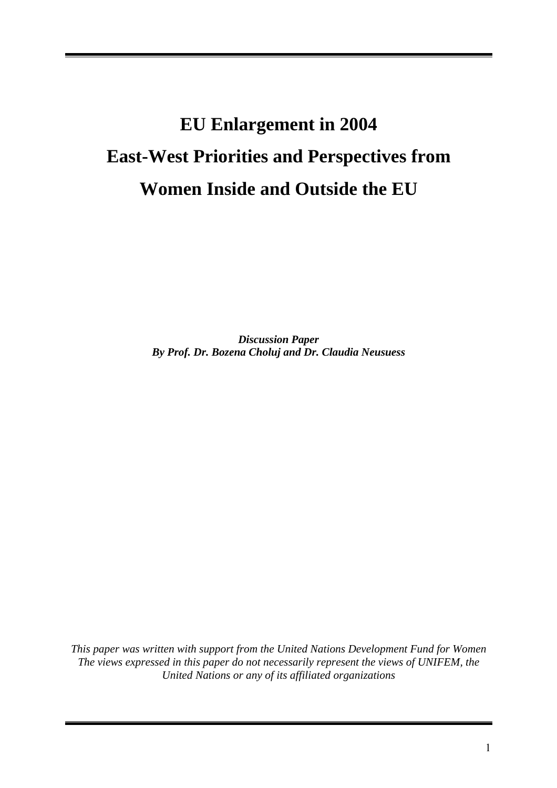# **EU Enlargement in 2004 East-West Priorities and Perspectives from Women Inside and Outside the EU**

*Discussion Paper By Prof. Dr. Bozena Choluj and Dr. Claudia Neusuess* 

*This paper was written with support from the United Nations Development Fund for Women The views expressed in this paper do not necessarily represent the views of UNIFEM, the United Nations or any of its affiliated organizations*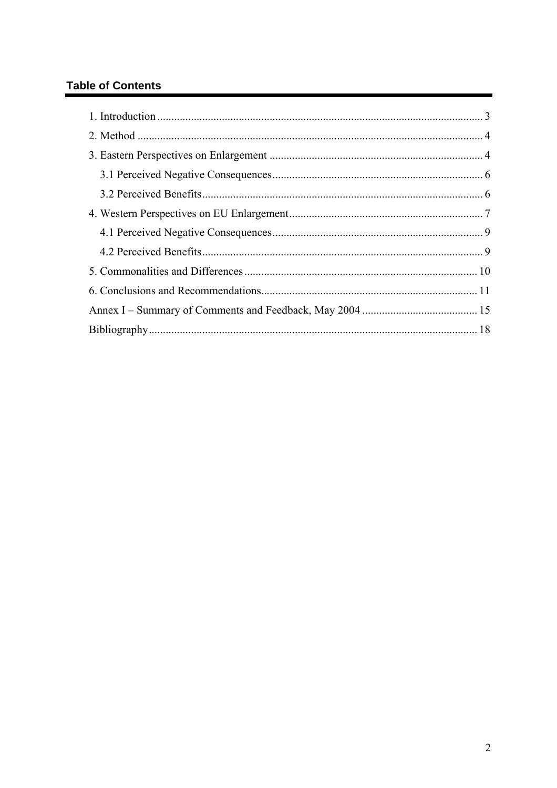# **Table of Contents**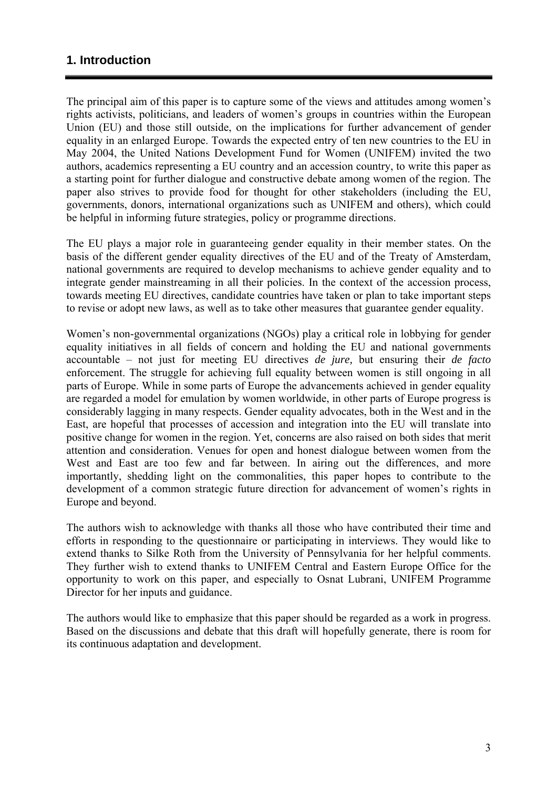## <span id="page-2-0"></span>**1. Introduction**

The principal aim of this paper is to capture some of the views and attitudes among women's rights activists, politicians, and leaders of women's groups in countries within the European Union (EU) and those still outside, on the implications for further advancement of gender equality in an enlarged Europe. Towards the expected entry of ten new countries to the EU in May 2004, the United Nations Development Fund for Women (UNIFEM) invited the two authors, academics representing a EU country and an accession country, to write this paper as a starting point for further dialogue and constructive debate among women of the region. The paper also strives to provide food for thought for other stakeholders (including the EU, governments, donors, international organizations such as UNIFEM and others), which could be helpful in informing future strategies, policy or programme directions.

The EU plays a major role in guaranteeing gender equality in their member states. On the basis of the different gender equality directives of the EU and of the Treaty of Amsterdam, national governments are required to develop mechanisms to achieve gender equality and to integrate gender mainstreaming in all their policies. In the context of the accession process, towards meeting EU directives, candidate countries have taken or plan to take important steps to revise or adopt new laws, as well as to take other measures that guarantee gender equality.

Women's non-governmental organizations (NGOs) play a critical role in lobbying for gender equality initiatives in all fields of concern and holding the EU and national governments accountable – not just for meeting EU directives *de jure,* but ensuring their *de facto* enforcement. The struggle for achieving full equality between women is still ongoing in all parts of Europe. While in some parts of Europe the advancements achieved in gender equality are regarded a model for emulation by women worldwide, in other parts of Europe progress is considerably lagging in many respects. Gender equality advocates, both in the West and in the East, are hopeful that processes of accession and integration into the EU will translate into positive change for women in the region. Yet, concerns are also raised on both sides that merit attention and consideration. Venues for open and honest dialogue between women from the West and East are too few and far between. In airing out the differences, and more importantly, shedding light on the commonalities, this paper hopes to contribute to the development of a common strategic future direction for advancement of women's rights in Europe and beyond.

The authors wish to acknowledge with thanks all those who have contributed their time and efforts in responding to the questionnaire or participating in interviews. They would like to extend thanks to Silke Roth from the University of Pennsylvania for her helpful comments. They further wish to extend thanks to UNIFEM Central and Eastern Europe Office for the opportunity to work on this paper, and especially to Osnat Lubrani, UNIFEM Programme Director for her inputs and guidance.

The authors would like to emphasize that this paper should be regarded as a work in progress. Based on the discussions and debate that this draft will hopefully generate, there is room for its continuous adaptation and development.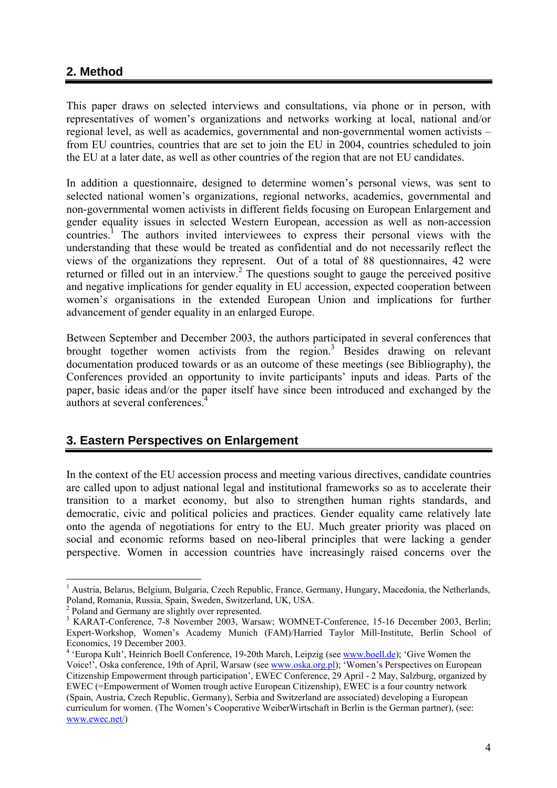# <span id="page-3-0"></span>**2. Method**

This paper draws on selected interviews and consultations, via phone or in person, with representatives of women's organizations and networks working at local, national and/or regional level, as well as academics, governmental and non-governmental women activists – from EU countries, countries that are set to join the EU in 2004, countries scheduled to join the EU at a later date, as well as other countries of the region that are not EU candidates.

In addition a questionnaire, designed to determine women's personal views, was sent to selected national women's organizations, regional networks, academics, governmental and non-governmental women activists in different fields focusing on European Enlargement and gender equality issues in selected Western European, accession as well as non-accession countries.<sup>[1](#page-3-1)</sup> The authors invited interviewees to express their personal views with the understanding that these would be treated as confidential and do not necessarily reflect the views of the organizations they represent. Out of a total of 88 questionnaires, 42 were returned or filled out in an interview.<sup>[2](#page-3-2)</sup> The questions sought to gauge the perceived positive and negative implications for gender equality in EU accession, expected cooperation between women's organisations in the extended European Union and implications for further advancement of gender equality in an enlarged Europe.

Between September and December 2003, the authors participated in several conferences that brought together women activists from the region.<sup>[3](#page-3-3)</sup> Besides drawing on relevant documentation produced towards or as an outcome of these meetings (see Bibliography), the Conferences provided an opportunity to invite participants' inputs and ideas. Parts of the paper, basic ideas and/or the paper itself have since been introduced and exchanged by the authors at several conferences.<sup>4</sup>

# **3. Eastern Perspectives on Enlargement**

In the context of the EU accession process and meeting various directives, candidate countries are called upon to adjust national legal and institutional frameworks so as to accelerate their transition to a market economy, but also to strengthen human rights standards, and democratic, civic and political policies and practices. Gender equality came relatively late onto the agenda of negotiations for entry to the EU. Much greater priority was placed on social and economic reforms based on neo-liberal principles that were lacking a gender perspective. Women in accession countries have increasingly raised concerns over the

 $\overline{a}$ 

<span id="page-3-1"></span><sup>&</sup>lt;sup>1</sup> Austria, Belarus, Belgium, Bulgaria, Czech Republic, France, Germany, Hungary, Macedonia, the Netherlands, Poland, Romania, Russia, Spain, Sweden, Switzerland, UK, USA. 2

<span id="page-3-2"></span>

<span id="page-3-3"></span><sup>&</sup>lt;sup>3</sup> KARAT-Conference, 7-8 November 2003, Warsaw; WOMNET-Conference, 15-16 December 2003, Berlin; Expert-Workshop, Women's Academy Munich (FAM)/Harried Taylor Mill-Institute, Berlin School of Economics, 19 December 2003.

<span id="page-3-4"></span><sup>&</sup>lt;sup>4</sup> 'Europa Kult', Heinrich Boell Conference, 19-20th March, Leipzig (see [www.boell.de\)](http://www.boell.de/); 'Give Women the Voice!', Oska conference, 19th of April, Warsaw (see [www.oska.org.pl](http://www.oska.org.pl/)); 'Women's Perspectives on European Citizenship Empowerment through participation', EWEC Conference, 29 April - 2 May, Salzburg, organized by EWEC (=Empowerment of Women trough active European Citizenship), EWEC is a four country network (Spain, Austria, Czech Republic, Germany), Serbia and Switzerland are associated) developing a European curriculum for women. (The Women's Cooperative WeiberWirtschaft in Berlin is the German partner), (see: [www.ewec.net/](http://www.ewec.net/))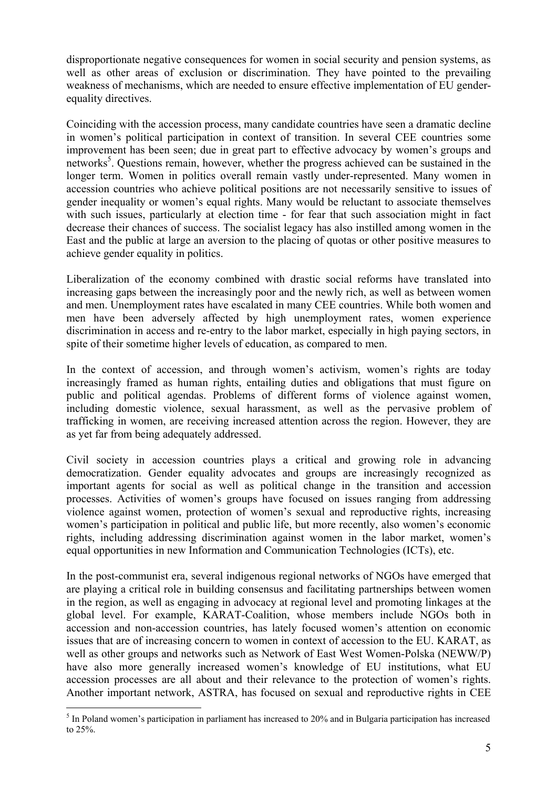disproportionate negative consequences for women in social security and pension systems, as well as other areas of exclusion or discrimination. They have pointed to the prevailing weakness of mechanisms, which are needed to ensure effective implementation of EU genderequality directives.

Coinciding with the accession process, many candidate countries have seen a dramatic decline in women's political participation in context of transition. In several CEE countries some improvement has been seen; due in great part to effective advocacy by women's groups and networks<sup>[5](#page-4-0)</sup>. Questions remain, however, whether the progress achieved can be sustained in the longer term. Women in politics overall remain vastly under-represented. Many women in accession countries who achieve political positions are not necessarily sensitive to issues of gender inequality or women's equal rights. Many would be reluctant to associate themselves with such issues, particularly at election time - for fear that such association might in fact decrease their chances of success. The socialist legacy has also instilled among women in the East and the public at large an aversion to the placing of quotas or other positive measures to achieve gender equality in politics.

Liberalization of the economy combined with drastic social reforms have translated into increasing gaps between the increasingly poor and the newly rich, as well as between women and men. Unemployment rates have escalated in many CEE countries. While both women and men have been adversely affected by high unemployment rates, women experience discrimination in access and re-entry to the labor market, especially in high paying sectors, in spite of their sometime higher levels of education, as compared to men.

In the context of accession, and through women's activism, women's rights are today increasingly framed as human rights, entailing duties and obligations that must figure on public and political agendas. Problems of different forms of violence against women, including domestic violence, sexual harassment, as well as the pervasive problem of trafficking in women, are receiving increased attention across the region. However, they are as yet far from being adequately addressed.

Civil society in accession countries plays a critical and growing role in advancing democratization. Gender equality advocates and groups are increasingly recognized as important agents for social as well as political change in the transition and accession processes. Activities of women's groups have focused on issues ranging from addressing violence against women, protection of women's sexual and reproductive rights, increasing women's participation in political and public life, but more recently, also women's economic rights, including addressing discrimination against women in the labor market, women's equal opportunities in new Information and Communication Technologies (ICTs), etc.

In the post-communist era, several indigenous regional networks of NGOs have emerged that are playing a critical role in building consensus and facilitating partnerships between women in the region, as well as engaging in advocacy at regional level and promoting linkages at the global level. For example, KARAT-Coalition, whose members include NGOs both in accession and non-accession countries, has lately focused women's attention on economic issues that are of increasing concern to women in context of accession to the EU. KARAT, as well as other groups and networks such as Network of East West Women-Polska (NEWW/P) have also more generally increased women's knowledge of EU institutions, what EU accession processes are all about and their relevance to the protection of women's rights. Another important network, ASTRA, has focused on sexual and reproductive rights in CEE

<span id="page-4-0"></span><sup>&</sup>lt;sup>5</sup> In Poland women's participation in parliament has increased to 20% and in Bulgaria participation has increased to 25%.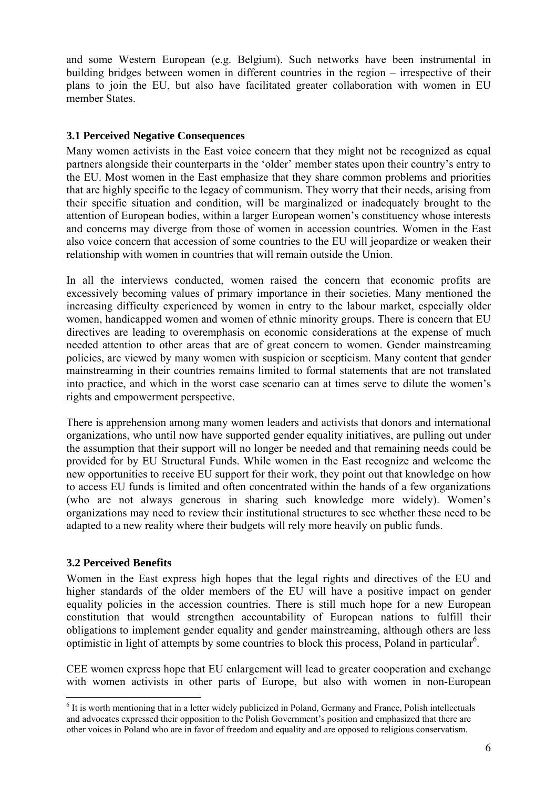<span id="page-5-0"></span>and some Western European (e.g. Belgium). Such networks have been instrumental in building bridges between women in different countries in the region – irrespective of their plans to join the EU, but also have facilitated greater collaboration with women in EU member States.

## **3.1 Perceived Negative Consequences**

Many women activists in the East voice concern that they might not be recognized as equal partners alongside their counterparts in the 'older' member states upon their country's entry to the EU. Most women in the East emphasize that they share common problems and priorities that are highly specific to the legacy of communism. They worry that their needs, arising from their specific situation and condition, will be marginalized or inadequately brought to the attention of European bodies, within a larger European women's constituency whose interests and concerns may diverge from those of women in accession countries. Women in the East also voice concern that accession of some countries to the EU will jeopardize or weaken their relationship with women in countries that will remain outside the Union.

In all the interviews conducted, women raised the concern that economic profits are excessively becoming values of primary importance in their societies. Many mentioned the increasing difficulty experienced by women in entry to the labour market, especially older women, handicapped women and women of ethnic minority groups. There is concern that EU directives are leading to overemphasis on economic considerations at the expense of much needed attention to other areas that are of great concern to women. Gender mainstreaming policies, are viewed by many women with suspicion or scepticism. Many content that gender mainstreaming in their countries remains limited to formal statements that are not translated into practice, and which in the worst case scenario can at times serve to dilute the women's rights and empowerment perspective.

There is apprehension among many women leaders and activists that donors and international organizations, who until now have supported gender equality initiatives, are pulling out under the assumption that their support will no longer be needed and that remaining needs could be provided for by EU Structural Funds. While women in the East recognize and welcome the new opportunities to receive EU support for their work, they point out that knowledge on how to access EU funds is limited and often concentrated within the hands of a few organizations (who are not always generous in sharing such knowledge more widely). Women's organizations may need to review their institutional structures to see whether these need to be adapted to a new reality where their budgets will rely more heavily on public funds.

## **3.2 Perceived Benefits**

 $\overline{a}$ 

Women in the East express high hopes that the legal rights and directives of the EU and higher standards of the older members of the EU will have a positive impact on gender equality policies in the accession countries. There is still much hope for a new European constitution that would strengthen accountability of European nations to fulfill their obligations to implement gender equality and gender mainstreaming, although others are less optimistic in light of attempts by some countries to block this process, Poland in particular<sup>6</sup>[.](#page-5-1)

CEE women express hope that EU enlargement will lead to greater cooperation and exchange with women activists in other parts of Europe, but also with women in non-European

<span id="page-5-1"></span><sup>&</sup>lt;sup>6</sup> It is worth mentioning that in a letter widely publicized in Poland, Germany and France, Polish intellectuals and advocates expressed their opposition to the Polish Government's position and emphasized that there are other voices in Poland who are in favor of freedom and equality and are opposed to religious conservatism.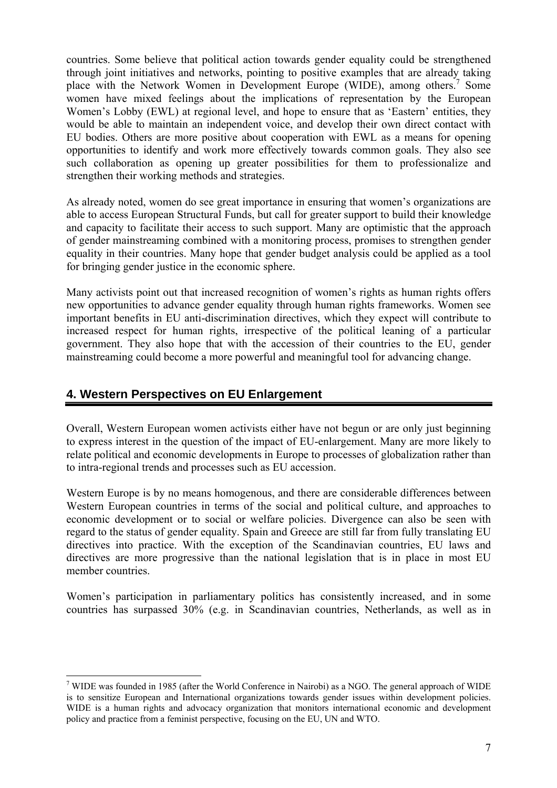<span id="page-6-0"></span>countries. Some believe that political action towards gender equality could be strengthened through joint initiatives and networks, pointing to positive examples that are already taking place with the Network Women in Development Europe (WIDE), among others.<sup>[7](#page-6-1)</sup> Some women have mixed feelings about the implications of representation by the European Women's Lobby (EWL) at regional level, and hope to ensure that as 'Eastern' entities, they would be able to maintain an independent voice, and develop their own direct contact with EU bodies. Others are more positive about cooperation with EWL as a means for opening opportunities to identify and work more effectively towards common goals. They also see such collaboration as opening up greater possibilities for them to professionalize and strengthen their working methods and strategies.

As already noted, women do see great importance in ensuring that women's organizations are able to access European Structural Funds, but call for greater support to build their knowledge and capacity to facilitate their access to such support. Many are optimistic that the approach of gender mainstreaming combined with a monitoring process, promises to strengthen gender equality in their countries. Many hope that gender budget analysis could be applied as a tool for bringing gender justice in the economic sphere.

Many activists point out that increased recognition of women's rights as human rights offers new opportunities to advance gender equality through human rights frameworks. Women see important benefits in EU anti-discrimination directives, which they expect will contribute to increased respect for human rights, irrespective of the political leaning of a particular government. They also hope that with the accession of their countries to the EU, gender mainstreaming could become a more powerful and meaningful tool for advancing change.

# **4. Western Perspectives on EU Enlargement**

 $\overline{a}$ 

Overall, Western European women activists either have not begun or are only just beginning to express interest in the question of the impact of EU-enlargement. Many are more likely to relate political and economic developments in Europe to processes of globalization rather than to intra-regional trends and processes such as EU accession.

Western Europe is by no means homogenous, and there are considerable differences between Western European countries in terms of the social and political culture, and approaches to economic development or to social or welfare policies. Divergence can also be seen with regard to the status of gender equality. Spain and Greece are still far from fully translating EU directives into practice. With the exception of the Scandinavian countries, EU laws and directives are more progressive than the national legislation that is in place in most EU member countries.

Women's participation in parliamentary politics has consistently increased, and in some countries has surpassed 30% (e.g. in Scandinavian countries, Netherlands, as well as in

<span id="page-6-1"></span><sup>7</sup> WIDE was founded in 1985 (after the World Conference in Nairobi) as a NGO. The general approach of WIDE is to sensitize European and International organizations towards gender issues within development policies. WIDE is a human rights and advocacy organization that monitors international economic and development policy and practice from a feminist perspective, focusing on the EU, UN and WTO.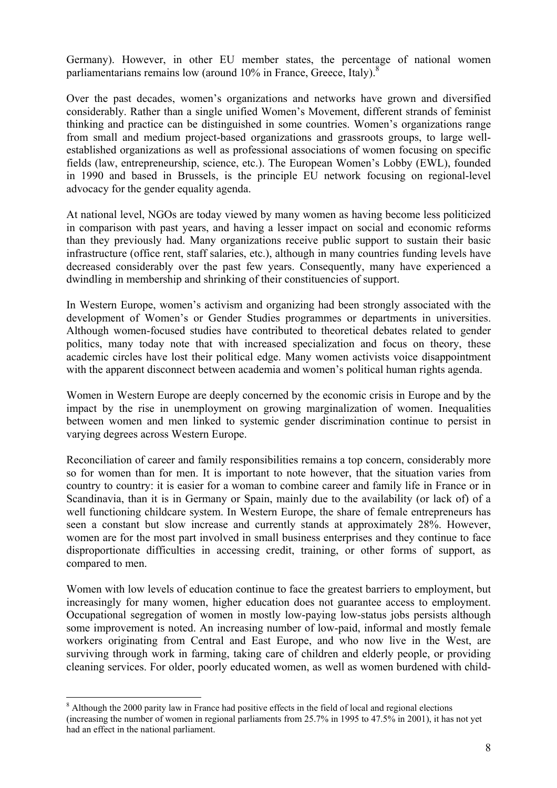Germany). However, in other EU member states, the percentage of national women parliamentarians remains low (around 10% in France, Greece, Italy).<sup>[8](#page-7-0)</sup>

Over the past decades, women's organizations and networks have grown and diversified considerably. Rather than a single unified Women's Movement, different strands of feminist thinking and practice can be distinguished in some countries. Women's organizations range from small and medium project-based organizations and grassroots groups, to large wellestablished organizations as well as professional associations of women focusing on specific fields (law, entrepreneurship, science, etc.). The European Women's Lobby (EWL), founded in 1990 and based in Brussels, is the principle EU network focusing on regional-level advocacy for the gender equality agenda.

At national level, NGOs are today viewed by many women as having become less politicized in comparison with past years, and having a lesser impact on social and economic reforms than they previously had. Many organizations receive public support to sustain their basic infrastructure (office rent, staff salaries, etc.), although in many countries funding levels have decreased considerably over the past few years. Consequently, many have experienced a dwindling in membership and shrinking of their constituencies of support.

In Western Europe, women's activism and organizing had been strongly associated with the development of Women's or Gender Studies programmes or departments in universities. Although women-focused studies have contributed to theoretical debates related to gender politics, many today note that with increased specialization and focus on theory, these academic circles have lost their political edge. Many women activists voice disappointment with the apparent disconnect between academia and women's political human rights agenda.

Women in Western Europe are deeply concerned by the economic crisis in Europe and by the impact by the rise in unemployment on growing marginalization of women. Inequalities between women and men linked to systemic gender discrimination continue to persist in varying degrees across Western Europe.

Reconciliation of career and family responsibilities remains a top concern, considerably more so for women than for men. It is important to note however, that the situation varies from country to country: it is easier for a woman to combine career and family life in France or in Scandinavia, than it is in Germany or Spain, mainly due to the availability (or lack of) of a well functioning childcare system. In Western Europe, the share of female entrepreneurs has seen a constant but slow increase and currently stands at approximately 28%. However, women are for the most part involved in small business enterprises and they continue to face disproportionate difficulties in accessing credit, training, or other forms of support, as compared to men.

Women with low levels of education continue to face the greatest barriers to employment, but increasingly for many women, higher education does not guarantee access to employment. Occupational segregation of women in mostly low-paying low-status jobs persists although some improvement is noted. An increasing number of low-paid, informal and mostly female workers originating from Central and East Europe, and who now live in the West, are surviving through work in farming, taking care of children and elderly people, or providing cleaning services. For older, poorly educated women, as well as women burdened with child-

 $\overline{a}$ 

<span id="page-7-0"></span><sup>&</sup>lt;sup>8</sup> Although the 2000 parity law in France had positive effects in the field of local and regional elections (increasing the number of women in regional parliaments from 25.7% in 1995 to 47.5% in 2001), it has not yet had an effect in the national parliament.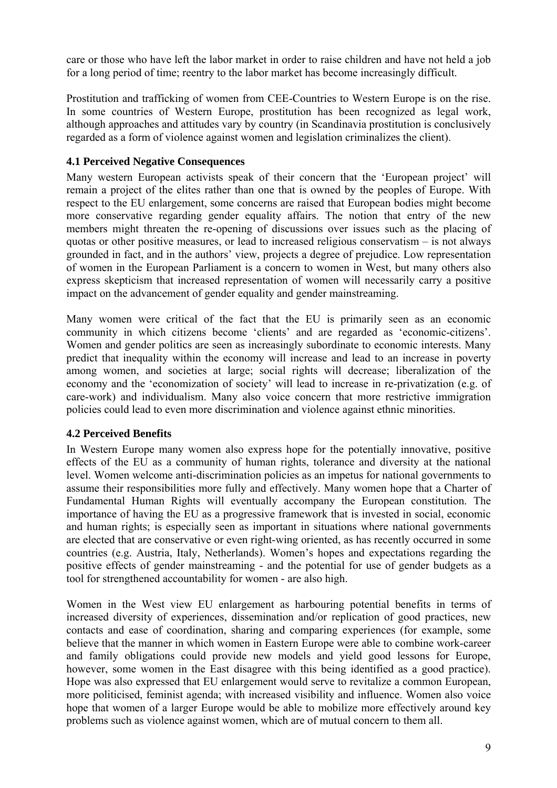<span id="page-8-0"></span>care or those who have left the labor market in order to raise children and have not held a job for a long period of time; reentry to the labor market has become increasingly difficult.

Prostitution and trafficking of women from CEE-Countries to Western Europe is on the rise. In some countries of Western Europe, prostitution has been recognized as legal work, although approaches and attitudes vary by country (in Scandinavia prostitution is conclusively regarded as a form of violence against women and legislation criminalizes the client).

## **4.1 Perceived Negative Consequences**

Many western European activists speak of their concern that the 'European project' will remain a project of the elites rather than one that is owned by the peoples of Europe. With respect to the EU enlargement, some concerns are raised that European bodies might become more conservative regarding gender equality affairs. The notion that entry of the new members might threaten the re-opening of discussions over issues such as the placing of quotas or other positive measures, or lead to increased religious conservatism – is not always grounded in fact, and in the authors' view, projects a degree of prejudice. Low representation of women in the European Parliament is a concern to women in West, but many others also express skepticism that increased representation of women will necessarily carry a positive impact on the advancement of gender equality and gender mainstreaming.

Many women were critical of the fact that the EU is primarily seen as an economic community in which citizens become 'clients' and are regarded as 'economic-citizens'. Women and gender politics are seen as increasingly subordinate to economic interests. Many predict that inequality within the economy will increase and lead to an increase in poverty among women, and societies at large; social rights will decrease; liberalization of the economy and the 'economization of society' will lead to increase in re-privatization (e.g. of care-work) and individualism. Many also voice concern that more restrictive immigration policies could lead to even more discrimination and violence against ethnic minorities.

## **4.2 Perceived Benefits**

In Western Europe many women also express hope for the potentially innovative, positive effects of the EU as a community of human rights, tolerance and diversity at the national level. Women welcome anti-discrimination policies as an impetus for national governments to assume their responsibilities more fully and effectively. Many women hope that a Charter of Fundamental Human Rights will eventually accompany the European constitution. The importance of having the EU as a progressive framework that is invested in social, economic and human rights; is especially seen as important in situations where national governments are elected that are conservative or even right-wing oriented, as has recently occurred in some countries (e.g. Austria, Italy, Netherlands). Women's hopes and expectations regarding the positive effects of gender mainstreaming - and the potential for use of gender budgets as a tool for strengthened accountability for women - are also high.

Women in the West view EU enlargement as harbouring potential benefits in terms of increased diversity of experiences, dissemination and/or replication of good practices, new contacts and ease of coordination, sharing and comparing experiences (for example, some believe that the manner in which women in Eastern Europe were able to combine work-career and family obligations could provide new models and yield good lessons for Europe, however, some women in the East disagree with this being identified as a good practice). Hope was also expressed that EU enlargement would serve to revitalize a common European, more politicised, feminist agenda; with increased visibility and influence. Women also voice hope that women of a larger Europe would be able to mobilize more effectively around key problems such as violence against women, which are of mutual concern to them all.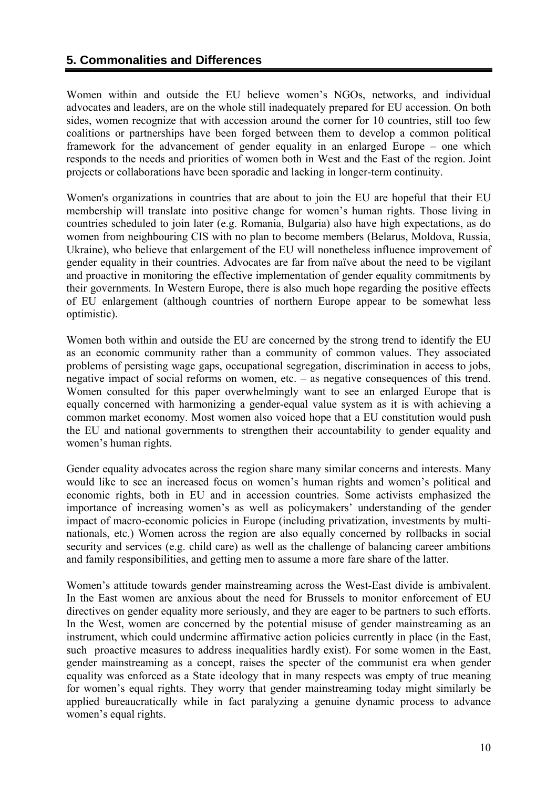## <span id="page-9-0"></span>**5. Commonalities and Differences**

Women within and outside the EU believe women's NGOs, networks, and individual advocates and leaders, are on the whole still inadequately prepared for EU accession. On both sides, women recognize that with accession around the corner for 10 countries, still too few coalitions or partnerships have been forged between them to develop a common political framework for the advancement of gender equality in an enlarged Europe – one which responds to the needs and priorities of women both in West and the East of the region. Joint projects or collaborations have been sporadic and lacking in longer-term continuity.

Women's organizations in countries that are about to join the EU are hopeful that their EU membership will translate into positive change for women's human rights. Those living in countries scheduled to join later (e.g. Romania, Bulgaria) also have high expectations, as do women from neighbouring CIS with no plan to become members (Belarus, Moldova, Russia, Ukraine), who believe that enlargement of the EU will nonetheless influence improvement of gender equality in their countries. Advocates are far from naïve about the need to be vigilant and proactive in monitoring the effective implementation of gender equality commitments by their governments. In Western Europe, there is also much hope regarding the positive effects of EU enlargement (although countries of northern Europe appear to be somewhat less optimistic).

Women both within and outside the EU are concerned by the strong trend to identify the EU as an economic community rather than a community of common values. They associated problems of persisting wage gaps, occupational segregation, discrimination in access to jobs, negative impact of social reforms on women, etc. – as negative consequences of this trend. Women consulted for this paper overwhelmingly want to see an enlarged Europe that is equally concerned with harmonizing a gender-equal value system as it is with achieving a common market economy. Most women also voiced hope that a EU constitution would push the EU and national governments to strengthen their accountability to gender equality and women's human rights.

Gender equality advocates across the region share many similar concerns and interests. Many would like to see an increased focus on women's human rights and women's political and economic rights, both in EU and in accession countries. Some activists emphasized the importance of increasing women's as well as policymakers' understanding of the gender impact of macro-economic policies in Europe (including privatization, investments by multinationals, etc.) Women across the region are also equally concerned by rollbacks in social security and services (e.g. child care) as well as the challenge of balancing career ambitions and family responsibilities, and getting men to assume a more fare share of the latter.

Women's attitude towards gender mainstreaming across the West-East divide is ambivalent. In the East women are anxious about the need for Brussels to monitor enforcement of EU directives on gender equality more seriously, and they are eager to be partners to such efforts. In the West, women are concerned by the potential misuse of gender mainstreaming as an instrument, which could undermine affirmative action policies currently in place (in the East, such proactive measures to address inequalities hardly exist). For some women in the East, gender mainstreaming as a concept, raises the specter of the communist era when gender equality was enforced as a State ideology that in many respects was empty of true meaning for women's equal rights. They worry that gender mainstreaming today might similarly be applied bureaucratically while in fact paralyzing a genuine dynamic process to advance women's equal rights.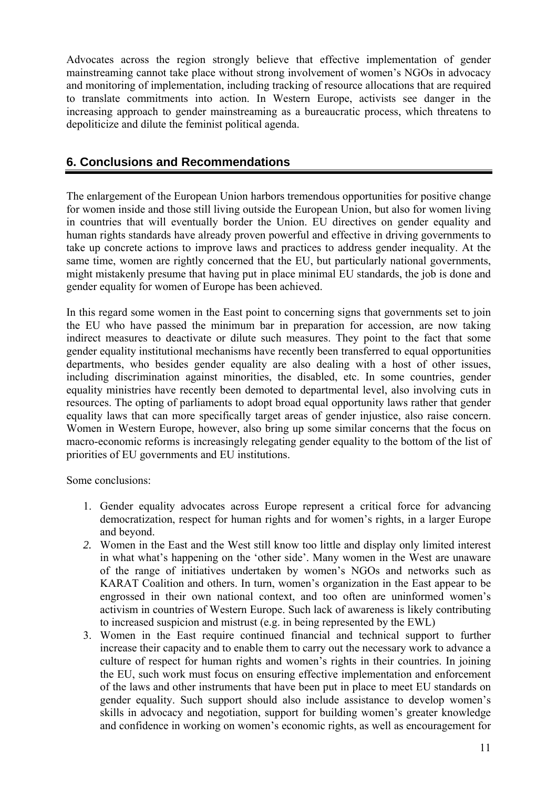<span id="page-10-0"></span>Advocates across the region strongly believe that effective implementation of gender mainstreaming cannot take place without strong involvement of women's NGOs in advocacy and monitoring of implementation, including tracking of resource allocations that are required to translate commitments into action. In Western Europe, activists see danger in the increasing approach to gender mainstreaming as a bureaucratic process, which threatens to depoliticize and dilute the feminist political agenda.

# **6. Conclusions and Recommendations**

The enlargement of the European Union harbors tremendous opportunities for positive change for women inside and those still living outside the European Union, but also for women living in countries that will eventually border the Union. EU directives on gender equality and human rights standards have already proven powerful and effective in driving governments to take up concrete actions to improve laws and practices to address gender inequality. At the same time, women are rightly concerned that the EU, but particularly national governments, might mistakenly presume that having put in place minimal EU standards, the job is done and gender equality for women of Europe has been achieved.

In this regard some women in the East point to concerning signs that governments set to join the EU who have passed the minimum bar in preparation for accession, are now taking indirect measures to deactivate or dilute such measures. They point to the fact that some gender equality institutional mechanisms have recently been transferred to equal opportunities departments, who besides gender equality are also dealing with a host of other issues, including discrimination against minorities, the disabled, etc. In some countries, gender equality ministries have recently been demoted to departmental level, also involving cuts in resources. The opting of parliaments to adopt broad equal opportunity laws rather that gender equality laws that can more specifically target areas of gender injustice, also raise concern. Women in Western Europe, however, also bring up some similar concerns that the focus on macro-economic reforms is increasingly relegating gender equality to the bottom of the list of priorities of EU governments and EU institutions.

Some conclusions:

- 1. Gender equality advocates across Europe represent a critical force for advancing democratization, respect for human rights and for women's rights, in a larger Europe and beyond.
- *2.* Women in the East and the West still know too little and display only limited interest in what what's happening on the 'other side'. Many women in the West are unaware of the range of initiatives undertaken by women's NGOs and networks such as KARAT Coalition and others. In turn, women's organization in the East appear to be engrossed in their own national context, and too often are uninformed women's activism in countries of Western Europe. Such lack of awareness is likely contributing to increased suspicion and mistrust (e.g. in being represented by the EWL)
- 3. Women in the East require continued financial and technical support to further increase their capacity and to enable them to carry out the necessary work to advance a culture of respect for human rights and women's rights in their countries. In joining the EU, such work must focus on ensuring effective implementation and enforcement of the laws and other instruments that have been put in place to meet EU standards on gender equality. Such support should also include assistance to develop women's skills in advocacy and negotiation, support for building women's greater knowledge and confidence in working on women's economic rights, as well as encouragement for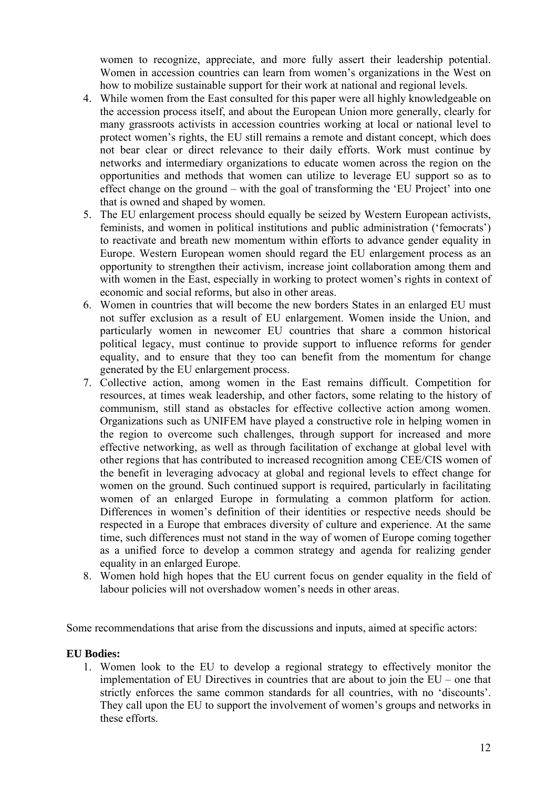women to recognize, appreciate, and more fully assert their leadership potential. Women in accession countries can learn from women's organizations in the West on how to mobilize sustainable support for their work at national and regional levels.

- 4. While women from the East consulted for this paper were all highly knowledgeable on the accession process itself, and about the European Union more generally, clearly for many grassroots activists in accession countries working at local or national level to protect women's rights, the EU still remains a remote and distant concept, which does not bear clear or direct relevance to their daily efforts. Work must continue by networks and intermediary organizations to educate women across the region on the opportunities and methods that women can utilize to leverage EU support so as to effect change on the ground – with the goal of transforming the 'EU Project' into one that is owned and shaped by women.
- 5. The EU enlargement process should equally be seized by Western European activists, feminists, and women in political institutions and public administration ('femocrats') to reactivate and breath new momentum within efforts to advance gender equality in Europe. Western European women should regard the EU enlargement process as an opportunity to strengthen their activism, increase joint collaboration among them and with women in the East, especially in working to protect women's rights in context of economic and social reforms, but also in other areas.
- 6. Women in countries that will become the new borders States in an enlarged EU must not suffer exclusion as a result of EU enlargement. Women inside the Union, and particularly women in newcomer EU countries that share a common historical political legacy, must continue to provide support to influence reforms for gender equality, and to ensure that they too can benefit from the momentum for change generated by the EU enlargement process.
- 7. Collective action, among women in the East remains difficult. Competition for resources, at times weak leadership, and other factors, some relating to the history of communism, still stand as obstacles for effective collective action among women. Organizations such as UNIFEM have played a constructive role in helping women in the region to overcome such challenges, through support for increased and more effective networking, as well as through facilitation of exchange at global level with other regions that has contributed to increased recognition among CEE/CIS women of the benefit in leveraging advocacy at global and regional levels to effect change for women on the ground. Such continued support is required, particularly in facilitating women of an enlarged Europe in formulating a common platform for action. Differences in women's definition of their identities or respective needs should be respected in a Europe that embraces diversity of culture and experience. At the same time, such differences must not stand in the way of women of Europe coming together as a unified force to develop a common strategy and agenda for realizing gender equality in an enlarged Europe.
- 8. Women hold high hopes that the EU current focus on gender equality in the field of labour policies will not overshadow women's needs in other areas.

Some recommendations that arise from the discussions and inputs, aimed at specific actors:

#### **EU Bodies:**

1. Women look to the EU to develop a regional strategy to effectively monitor the implementation of EU Directives in countries that are about to join the EU – one that strictly enforces the same common standards for all countries, with no 'discounts'. They call upon the EU to support the involvement of women's groups and networks in these efforts.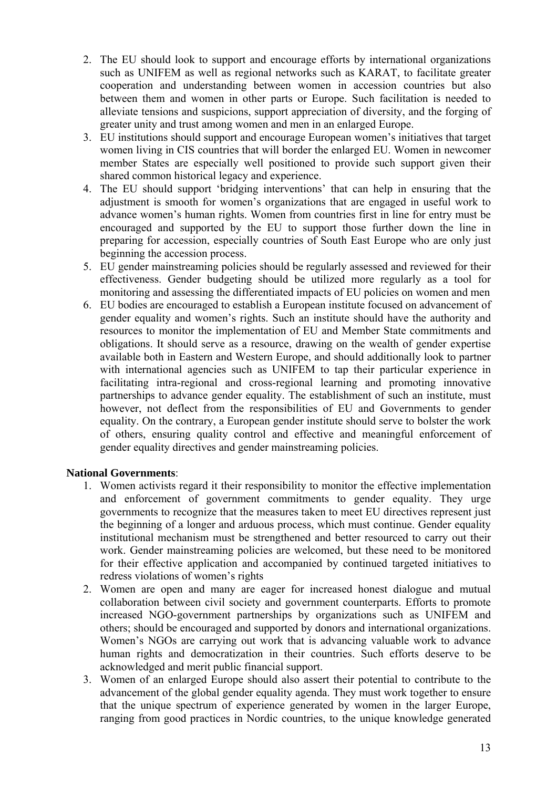- 2. The EU should look to support and encourage efforts by international organizations such as UNIFEM as well as regional networks such as KARAT, to facilitate greater cooperation and understanding between women in accession countries but also between them and women in other parts or Europe. Such facilitation is needed to alleviate tensions and suspicions, support appreciation of diversity, and the forging of greater unity and trust among women and men in an enlarged Europe.
- 3. EU institutions should support and encourage European women's initiatives that target women living in CIS countries that will border the enlarged EU. Women in newcomer member States are especially well positioned to provide such support given their shared common historical legacy and experience.
- 4. The EU should support 'bridging interventions' that can help in ensuring that the adjustment is smooth for women's organizations that are engaged in useful work to advance women's human rights. Women from countries first in line for entry must be encouraged and supported by the EU to support those further down the line in preparing for accession, especially countries of South East Europe who are only just beginning the accession process.
- 5. EU gender mainstreaming policies should be regularly assessed and reviewed for their effectiveness. Gender budgeting should be utilized more regularly as a tool for monitoring and assessing the differentiated impacts of EU policies on women and men
- 6. EU bodies are encouraged to establish a European institute focused on advancement of gender equality and women's rights. Such an institute should have the authority and resources to monitor the implementation of EU and Member State commitments and obligations. It should serve as a resource, drawing on the wealth of gender expertise available both in Eastern and Western Europe, and should additionally look to partner with international agencies such as UNIFEM to tap their particular experience in facilitating intra-regional and cross-regional learning and promoting innovative partnerships to advance gender equality. The establishment of such an institute, must however, not deflect from the responsibilities of EU and Governments to gender equality. On the contrary, a European gender institute should serve to bolster the work of others, ensuring quality control and effective and meaningful enforcement of gender equality directives and gender mainstreaming policies.

## **National Governments**:

- 1. Women activists regard it their responsibility to monitor the effective implementation and enforcement of government commitments to gender equality. They urge governments to recognize that the measures taken to meet EU directives represent just the beginning of a longer and arduous process, which must continue. Gender equality institutional mechanism must be strengthened and better resourced to carry out their work. Gender mainstreaming policies are welcomed, but these need to be monitored for their effective application and accompanied by continued targeted initiatives to redress violations of women's rights
- 2. Women are open and many are eager for increased honest dialogue and mutual collaboration between civil society and government counterparts. Efforts to promote increased NGO-government partnerships by organizations such as UNIFEM and others; should be encouraged and supported by donors and international organizations. Women's NGOs are carrying out work that is advancing valuable work to advance human rights and democratization in their countries. Such efforts deserve to be acknowledged and merit public financial support.
- 3. Women of an enlarged Europe should also assert their potential to contribute to the advancement of the global gender equality agenda. They must work together to ensure that the unique spectrum of experience generated by women in the larger Europe, ranging from good practices in Nordic countries, to the unique knowledge generated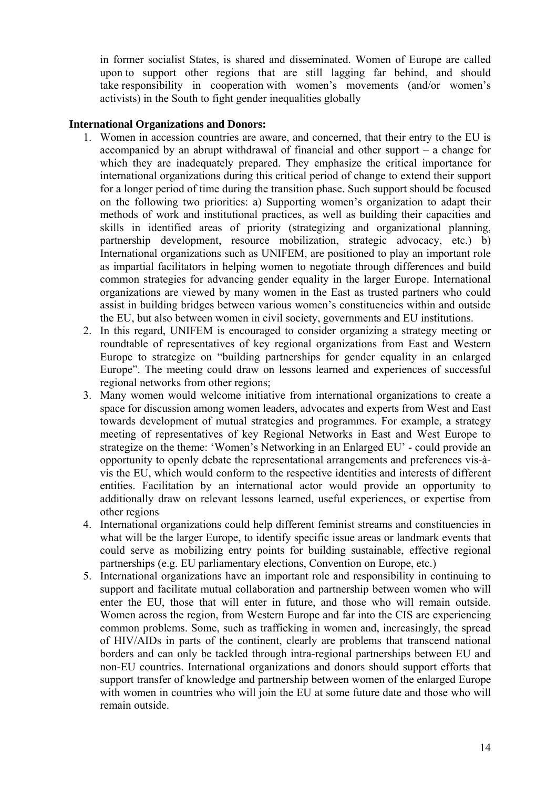in former socialist States, is shared and disseminated. Women of Europe are called upon to support other regions that are still lagging far behind, and should take responsibility in cooperation with women's movements (and/or women's activists) in the South to fight gender inequalities globally

#### **International Organizations and Donors:**

- 1. Women in accession countries are aware, and concerned, that their entry to the EU is accompanied by an abrupt withdrawal of financial and other support – a change for which they are inadequately prepared. They emphasize the critical importance for international organizations during this critical period of change to extend their support for a longer period of time during the transition phase. Such support should be focused on the following two priorities: a) Supporting women's organization to adapt their methods of work and institutional practices, as well as building their capacities and skills in identified areas of priority (strategizing and organizational planning, partnership development, resource mobilization, strategic advocacy, etc.) b) International organizations such as UNIFEM, are positioned to play an important role as impartial facilitators in helping women to negotiate through differences and build common strategies for advancing gender equality in the larger Europe. International organizations are viewed by many women in the East as trusted partners who could assist in building bridges between various women's constituencies within and outside the EU, but also between women in civil society, governments and EU institutions.
- 2. In this regard, UNIFEM is encouraged to consider organizing a strategy meeting or roundtable of representatives of key regional organizations from East and Western Europe to strategize on "building partnerships for gender equality in an enlarged Europe". The meeting could draw on lessons learned and experiences of successful regional networks from other regions;
- 3. Many women would welcome initiative from international organizations to create a space for discussion among women leaders, advocates and experts from West and East towards development of mutual strategies and programmes. For example, a strategy meeting of representatives of key Regional Networks in East and West Europe to strategize on the theme: 'Women's Networking in an Enlarged EU' - could provide an opportunity to openly debate the representational arrangements and preferences vis-àvis the EU, which would conform to the respective identities and interests of different entities. Facilitation by an international actor would provide an opportunity to additionally draw on relevant lessons learned, useful experiences, or expertise from other regions
- 4. International organizations could help different feminist streams and constituencies in what will be the larger Europe, to identify specific issue areas or landmark events that could serve as mobilizing entry points for building sustainable, effective regional partnerships (e.g. EU parliamentary elections, Convention on Europe, etc.)
- 5. International organizations have an important role and responsibility in continuing to support and facilitate mutual collaboration and partnership between women who will enter the EU, those that will enter in future, and those who will remain outside. Women across the region, from Western Europe and far into the CIS are experiencing common problems. Some, such as trafficking in women and, increasingly, the spread of HIV/AIDs in parts of the continent, clearly are problems that transcend national borders and can only be tackled through intra-regional partnerships between EU and non-EU countries. International organizations and donors should support efforts that support transfer of knowledge and partnership between women of the enlarged Europe with women in countries who will join the EU at some future date and those who will remain outside.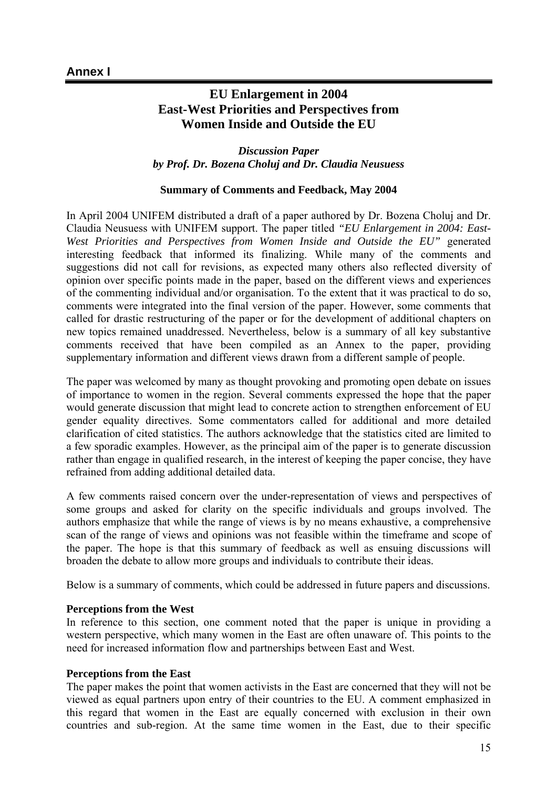# <span id="page-14-0"></span>**EU Enlargement in 2004 East-West Priorities and Perspectives from Women Inside and Outside the EU**

*Discussion Paper by Prof. Dr. Bozena Choluj and Dr. Claudia Neusuess* 

#### **Summary of Comments and Feedback, May 2004**

In April 2004 UNIFEM distributed a draft of a paper authored by Dr. Bozena Choluj and Dr. Claudia Neusuess with UNIFEM support. The paper titled *"EU Enlargement in 2004: East-West Priorities and Perspectives from Women Inside and Outside the EU"* generated interesting feedback that informed its finalizing. While many of the comments and suggestions did not call for revisions, as expected many others also reflected diversity of opinion over specific points made in the paper, based on the different views and experiences of the commenting individual and/or organisation. To the extent that it was practical to do so, comments were integrated into the final version of the paper. However, some comments that called for drastic restructuring of the paper or for the development of additional chapters on new topics remained unaddressed. Nevertheless, below is a summary of all key substantive comments received that have been compiled as an Annex to the paper, providing supplementary information and different views drawn from a different sample of people.

The paper was welcomed by many as thought provoking and promoting open debate on issues of importance to women in the region. Several comments expressed the hope that the paper would generate discussion that might lead to concrete action to strengthen enforcement of EU gender equality directives. Some commentators called for additional and more detailed clarification of cited statistics. The authors acknowledge that the statistics cited are limited to a few sporadic examples. However, as the principal aim of the paper is to generate discussion rather than engage in qualified research, in the interest of keeping the paper concise, they have refrained from adding additional detailed data.

A few comments raised concern over the under-representation of views and perspectives of some groups and asked for clarity on the specific individuals and groups involved. The authors emphasize that while the range of views is by no means exhaustive, a comprehensive scan of the range of views and opinions was not feasible within the timeframe and scope of the paper. The hope is that this summary of feedback as well as ensuing discussions will broaden the debate to allow more groups and individuals to contribute their ideas.

Below is a summary of comments, which could be addressed in future papers and discussions.

#### **Perceptions from the West**

In reference to this section, one comment noted that the paper is unique in providing a western perspective, which many women in the East are often unaware of. This points to the need for increased information flow and partnerships between East and West.

#### **Perceptions from the East**

The paper makes the point that women activists in the East are concerned that they will not be viewed as equal partners upon entry of their countries to the EU. A comment emphasized in this regard that women in the East are equally concerned with exclusion in their own countries and sub-region. At the same time women in the East, due to their specific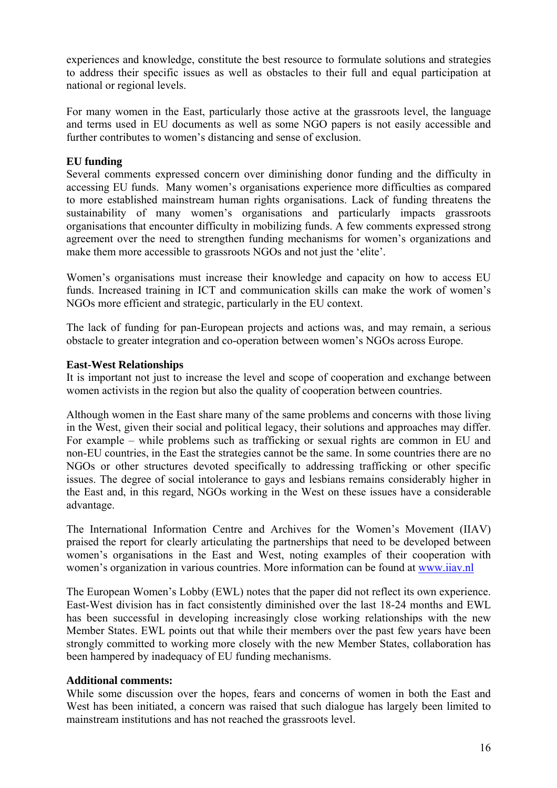experiences and knowledge, constitute the best resource to formulate solutions and strategies to address their specific issues as well as obstacles to their full and equal participation at national or regional levels.

For many women in the East, particularly those active at the grassroots level, the language and terms used in EU documents as well as some NGO papers is not easily accessible and further contributes to women's distancing and sense of exclusion.

### **EU funding**

Several comments expressed concern over diminishing donor funding and the difficulty in accessing EU funds. Many women's organisations experience more difficulties as compared to more established mainstream human rights organisations. Lack of funding threatens the sustainability of many women's organisations and particularly impacts grassroots organisations that encounter difficulty in mobilizing funds. A few comments expressed strong agreement over the need to strengthen funding mechanisms for women's organizations and make them more accessible to grassroots NGOs and not just the 'elite'.

Women's organisations must increase their knowledge and capacity on how to access EU funds. Increased training in ICT and communication skills can make the work of women's NGOs more efficient and strategic, particularly in the EU context.

The lack of funding for pan-European projects and actions was, and may remain, a serious obstacle to greater integration and co-operation between women's NGOs across Europe.

#### **East-West Relationships**

It is important not just to increase the level and scope of cooperation and exchange between women activists in the region but also the quality of cooperation between countries.

Although women in the East share many of the same problems and concerns with those living in the West, given their social and political legacy, their solutions and approaches may differ. For example – while problems such as trafficking or sexual rights are common in EU and non-EU countries, in the East the strategies cannot be the same. In some countries there are no NGOs or other structures devoted specifically to addressing trafficking or other specific issues. The degree of social intolerance to gays and lesbians remains considerably higher in the East and, in this regard, NGOs working in the West on these issues have a considerable advantage.

The International Information Centre and Archives for the Women's Movement (IIAV) praised the report for clearly articulating the partnerships that need to be developed between women's organisations in the East and West, noting examples of their cooperation with women's organization in various countries. More information can be found at [www.iiav.nl](http://www.iiav.nl/)

The European Women's Lobby (EWL) notes that the paper did not reflect its own experience. East-West division has in fact consistently diminished over the last 18-24 months and EWL has been successful in developing increasingly close working relationships with the new Member States. EWL points out that while their members over the past few years have been strongly committed to working more closely with the new Member States, collaboration has been hampered by inadequacy of EU funding mechanisms.

#### **Additional comments:**

While some discussion over the hopes, fears and concerns of women in both the East and West has been initiated, a concern was raised that such dialogue has largely been limited to mainstream institutions and has not reached the grassroots level.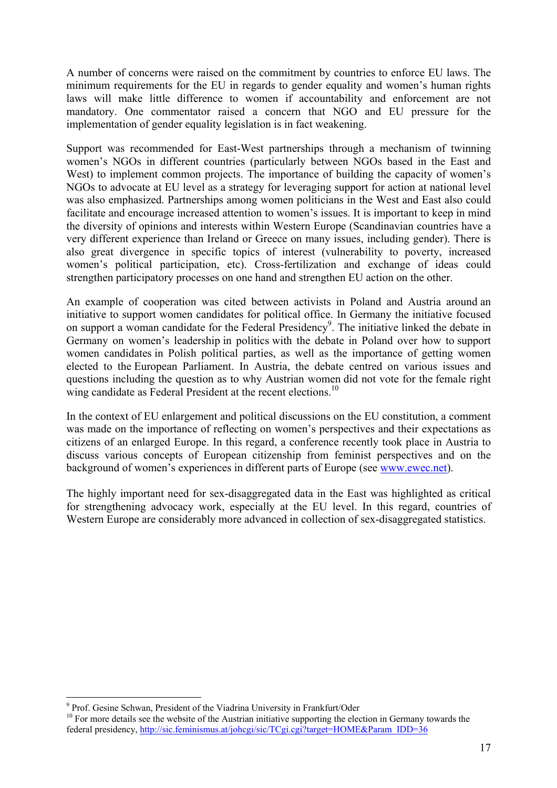A number of concerns were raised on the commitment by countries to enforce EU laws. The minimum requirements for the EU in regards to gender equality and women's human rights laws will make little difference to women if accountability and enforcement are not mandatory. One commentator raised a concern that NGO and EU pressure for the implementation of gender equality legislation is in fact weakening.

Support was recommended for East-West partnerships through a mechanism of twinning women's NGOs in different countries (particularly between NGOs based in the East and West) to implement common projects. The importance of building the capacity of women's NGOs to advocate at EU level as a strategy for leveraging support for action at national level was also emphasized. Partnerships among women politicians in the West and East also could facilitate and encourage increased attention to women's issues. It is important to keep in mind the diversity of opinions and interests within Western Europe (Scandinavian countries have a very different experience than Ireland or Greece on many issues, including gender). There is also great divergence in specific topics of interest (vulnerability to poverty, increased women's political participation, etc). Cross-fertilization and exchange of ideas could strengthen participatory processes on one hand and strengthen EU action on the other.

An example of cooperation was cited between activists in Poland and Austria around an initiative to support women candidates for political office. In Germany the initiative focused on support a woman candidate for the Federal Presidency<sup>9</sup>[.](#page-16-0) The initiative linked the debate in Germany on women's leadership in politics with the debate in Poland over how to support women candidates in Polish political parties, as well as the importance of getting women elected to the European Parliament. In Austria, the debate centred on various issues and questions including the question as to why Austrian women did not vote for the female right wing candidate as Federal President at the recent elections.<sup>10</sup>

In the context of EU enlargement and political discussions on the EU constitution, a comment was made on the importance of reflecting on women's perspectives and their expectations as citizens of an enlarged Europe. In this regard, a conference recently took place in Austria to discuss various concepts of European citizenship from feminist perspectives and on the background of women's experiences in different parts of Europe (see [www.ewec.net](http://www.ewec.net/)).

The highly important need for sex-disaggregated data in the East was highlighted as critical for strengthening advocacy work, especially at the EU level. In this regard, countries of Western Europe are considerably more advanced in collection of sex-disaggregated statistics.

 $\overline{a}$ 

<span id="page-16-0"></span><sup>&</sup>lt;sup>9</sup> Prof. Gesine Schwan, President of the Viadrina University in Frankfurt/Oder

<span id="page-16-1"></span> $10$  For more details see the website of the Austrian initiative supporting the election in Germany towards the federal presidency, [http://sic.feminismus.at/johcgi/sic/TCgi.cgi?target=HOME&Param\\_IDD=36](http://sic.feminismus.at/johcgi/sic/TCgi.cgi?target=HOME&Param_IDD=36)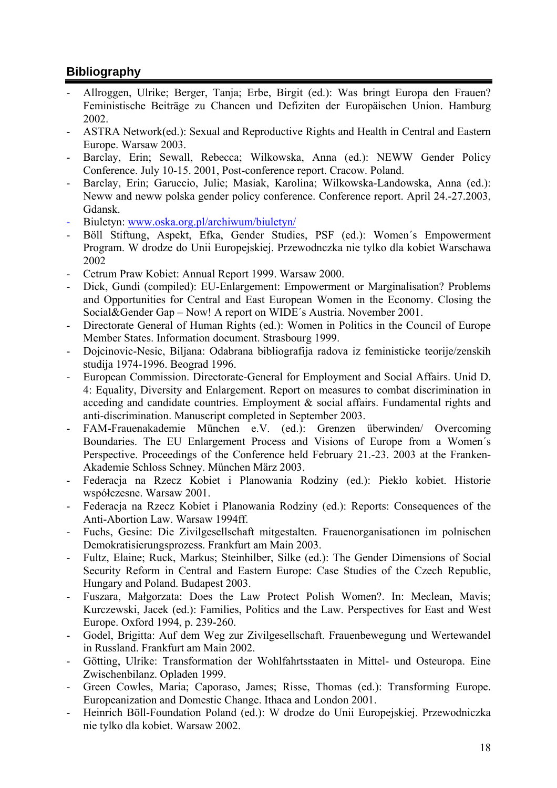# <span id="page-17-0"></span>**Bibliography**

- Allroggen, Ulrike; Berger, Tanja; Erbe, Birgit (ed.): Was bringt Europa den Frauen? Feministische Beiträge zu Chancen und Defiziten der Europäischen Union. Hamburg 2002.
- ASTRA Network(ed.): Sexual and Reproductive Rights and Health in Central and Eastern Europe. Warsaw 2003.
- Barclay, Erin; Sewall, Rebecca; Wilkowska, Anna (ed.): NEWW Gender Policy Conference. July 10-15. 2001, Post-conference report. Cracow. Poland.
- Barclay, Erin; Garuccio, Julie; Masiak, Karolina; Wilkowska-Landowska, Anna (ed.): Neww and neww polska gender policy conference. Conference report. April 24.-27.2003, Gdansk.
- Biuletyn: [www.oska.org.pl/archiwum/biuletyn/](http://www.oska.org.pl/archiwum/biuletyn/)
- Böll Stiftung, Aspekt, Efka, Gender Studies, PSF (ed.): Women´s Empowerment Program. W drodze do Unii Europejskiej. Przewodnczka nie tylko dla kobiet Warschawa 2002
- Cetrum Praw Kobiet: Annual Report 1999. Warsaw 2000.
- Dick, Gundi (compiled): EU-Enlargement: Empowerment or Marginalisation? Problems and Opportunities for Central and East European Women in the Economy. Closing the Social&Gender Gap – Now! A report on WIDE´s Austria. November 2001.
- Directorate General of Human Rights (ed.): Women in Politics in the Council of Europe Member States. Information document. Strasbourg 1999.
- Dojcinovic-Nesic, Biljana: Odabrana bibliografija radova iz feministicke teorije/zenskih studija 1974-1996. Beograd 1996.
- European Commission. Directorate-General for Employment and Social Affairs. Unid D. 4: Equality, Diversity and Enlargement. Report on measures to combat discrimination in acceding and candidate countries. Employment & social affairs. Fundamental rights and anti-discrimination. Manuscript completed in September 2003.
- FAM-Frauenakademie München e.V. (ed.): Grenzen überwinden/ Overcoming Boundaries. The EU Enlargement Process and Visions of Europe from a Women´s Perspective. Proceedings of the Conference held February 21.-23. 2003 at the Franken-Akademie Schloss Schney. München März 2003.
- Federacja na Rzecz Kobiet i Planowania Rodziny (ed.): Piekło kobiet. Historie współczesne. Warsaw 2001.
- Federacja na Rzecz Kobiet i Planowania Rodziny (ed.): Reports: Consequences of the Anti-Abortion Law. Warsaw 1994ff.
- Fuchs, Gesine: Die Zivilgesellschaft mitgestalten. Frauenorganisationen im polnischen Demokratisierungsprozess. Frankfurt am Main 2003.
- Fultz, Elaine; Ruck, Markus; Steinhilber, Silke (ed.): The Gender Dimensions of Social Security Reform in Central and Eastern Europe: Case Studies of the Czech Republic, Hungary and Poland. Budapest 2003.
- Fuszara, Małgorzata: Does the Law Protect Polish Women?. In: Meclean, Mavis; Kurczewski, Jacek (ed.): Families, Politics and the Law. Perspectives for East and West Europe. Oxford 1994, p. 239-260.
- Godel, Brigitta: Auf dem Weg zur Zivilgesellschaft. Frauenbewegung und Wertewandel in Russland. Frankfurt am Main 2002.
- Götting, Ulrike: Transformation der Wohlfahrtsstaaten in Mittel- und Osteuropa. Eine Zwischenbilanz. Opladen 1999.
- Green Cowles, Maria; Caporaso, James; Risse, Thomas (ed.): Transforming Europe. Europeanization and Domestic Change. Ithaca and London 2001.
- Heinrich Böll-Foundation Poland (ed.): W drodze do Unii Europejskiej. Przewodniczka nie tylko dla kobiet. Warsaw 2002.